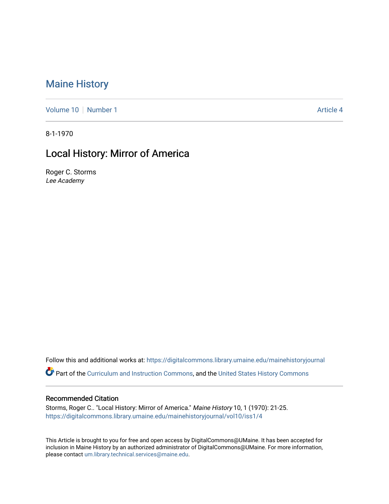## [Maine History](https://digitalcommons.library.umaine.edu/mainehistoryjournal)

[Volume 10](https://digitalcommons.library.umaine.edu/mainehistoryjournal/vol10) [Number 1](https://digitalcommons.library.umaine.edu/mainehistoryjournal/vol10/iss1) Article 4

8-1-1970

## Local History: Mirror of America

Roger C. Storms Lee Academy

Follow this and additional works at: [https://digitalcommons.library.umaine.edu/mainehistoryjournal](https://digitalcommons.library.umaine.edu/mainehistoryjournal?utm_source=digitalcommons.library.umaine.edu%2Fmainehistoryjournal%2Fvol10%2Fiss1%2F4&utm_medium=PDF&utm_campaign=PDFCoverPages) 

Part of the [Curriculum and Instruction Commons,](http://network.bepress.com/hgg/discipline/786?utm_source=digitalcommons.library.umaine.edu%2Fmainehistoryjournal%2Fvol10%2Fiss1%2F4&utm_medium=PDF&utm_campaign=PDFCoverPages) and the [United States History Commons](http://network.bepress.com/hgg/discipline/495?utm_source=digitalcommons.library.umaine.edu%2Fmainehistoryjournal%2Fvol10%2Fiss1%2F4&utm_medium=PDF&utm_campaign=PDFCoverPages)

## Recommended Citation

Storms, Roger C.. "Local History: Mirror of America." Maine History 10, 1 (1970): 21-25. [https://digitalcommons.library.umaine.edu/mainehistoryjournal/vol10/iss1/4](https://digitalcommons.library.umaine.edu/mainehistoryjournal/vol10/iss1/4?utm_source=digitalcommons.library.umaine.edu%2Fmainehistoryjournal%2Fvol10%2Fiss1%2F4&utm_medium=PDF&utm_campaign=PDFCoverPages)

This Article is brought to you for free and open access by DigitalCommons@UMaine. It has been accepted for inclusion in Maine History by an authorized administrator of DigitalCommons@UMaine. For more information, please contact [um.library.technical.services@maine.edu.](mailto:um.library.technical.services@maine.edu)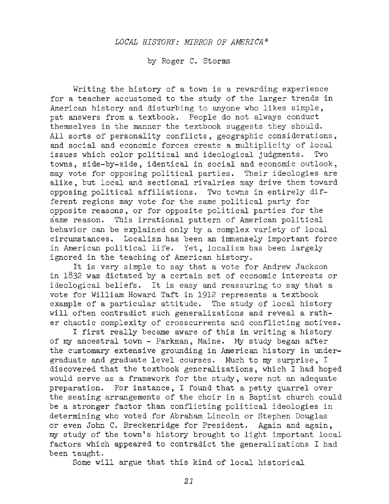## *LOCAL HISTORY: MIRROR OF AMERICA\**

by Roger C. Storms

Writing the history of a town is a rewarding experience for <sup>a</sup> teacher accustomed to the study of the larger trends in American history and disturbing to anyone who likes simple, pat answers from a textbook. People do not always conduct themselves in the manner the textbook suggests they should. All sorts of personality conflicts, geographic considerations, and social and economic forces create a multiplicity of local issues which color political and ideological judgments. Two towns, side-by-side, identical in social and economic outlook, may vote for opposing political parties. Their ideologies are alike, but local and sectional rivalries may drive them toward opposing political affiliations. Two towns in entirely different regions may vote for the same political party for opposite reasons, or for opposite political parties for the same reason. This irrational pattern of American political behavior can be explained only by a complex variety of local circumstances. Localism has been an immensely important force in American political life. Yet, localism has been largely ignored in the teaching of American history.

It is very simple to say that <sup>a</sup> vote for Andrew Jackson in 1832 was dictated by a certain set of economic interests or ideological beliefs. It is easy and reassuring to say that <sup>a</sup> vote for William Howard Taft in 1912 represents a textbook example of a particular attitude. The study of local history will often contradict such generalizations and reveal <sup>a</sup> rather chaotic complexity of crosscurrents and conflicting motives.

I first really became aware of this in writing <sup>a</sup> history of my ancestral town - Parkman, Maine. My study began after the customary extensive grounding in American history in undergraduate and graduate level courses. Much to my surprise, I discovered that the textbook generalizations, which I had hoped would serve as a framework for the study, were not an adequate preparation. For instance, I found that <sup>a</sup> petty quarrel over the seating arrangements of the choir in a Baptist church could be <sup>a</sup> stronger factor than conflicting political ideologies in determining who voted for Abraham Lincoln or Stephen Douglas or even John C. Breckenridge for President. Again and again, my study of the town's history brought to light important local factors which appeared to contradict the generalizations I had been taught.

Some will argue that this kind of local historical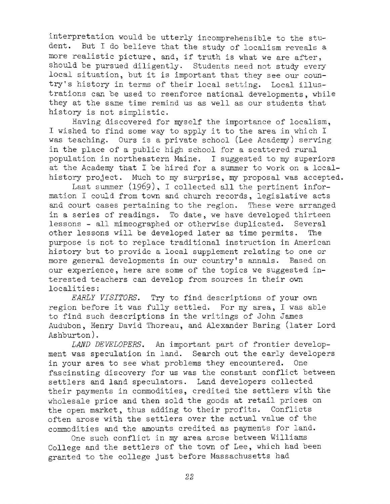interpretation would be utterly incomprehensible to the student. But I do believe that the study of localism reveals <sup>a</sup> more realistic picture, and, if truth is what we are after, should be pursued diligently. Students need not study every local situation, but it is important that they see our country's history in terms of their local setting. Local illustrations can be used to reenforce national developments, while they at the same time remind us as well as our students that history is not simplistic.

Having discovered for myself the importance of localism, I wished to find some way to apply it to the area in which I was teaching. Ours is a private school (Lee Academy) serving in the place of <sup>a</sup> public high school for <sup>a</sup> scattered rural population in northeastern Maine. I suggested to my superiors at the Academy that I be hired for <sup>a</sup> summer to work on <sup>a</sup> localhistory project. Much to my surprise, my proposal was accepted.

Last summer  $(1969)$ , I collected all the pertinent information I could from town and church records, legislative acts and court cases pertaining to the region. These were arranged in a series of readings. To date, we have developed thirteen lessons - all mimeographed or otherwise duplicated. Several other lessons will be developed later as time permits. The purpose is not to replace traditional instruction in American history but to provide a local supplement relating to one or more general developments in our country'<sup>s</sup> annals. Based on our experience, here are some of the topics we suggested interested teachers can develop from sources in their own localities:<br>EARLY VISITORS.

**Fry to find descriptions of your own** region before it was fully settled. For my area, I was able to find such descriptions in the writings of John James Audubon, Henry David Thoreau, and Alexander Baring (later Lord Ashburton).

*LAND DEVELOPERS.* An important part of frontier development was speculation in land. Search out the early developers in your area to see what problems they encountered. One fascinating discovery for us was the constant conflict between settlers and land speculators. Land developers collected their payments in commodities, credited the settlers with the wholesale price and then sold the goods at retail prices on the open market, thus adding to their profits. Conflicts often arose with the settlers over the actual value of the commodities and the amounts credited as payments for land.

One such conflict in my area arose between Williams College and the settlers of the town of Lee, which had been granted to the college just before Massachusetts had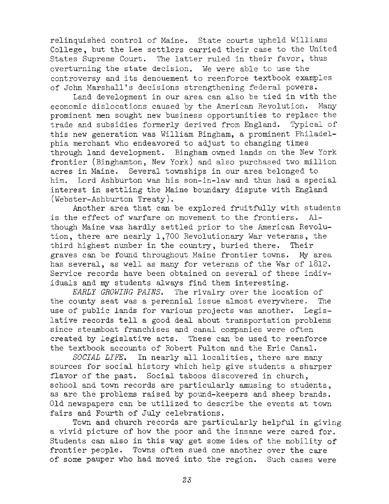relinquished, control of Maine. State courts upheld Williams College, but the Lee settlers carried their case to the United States Supreme Court. The latter ruled in their favor, thus overturning the state decision. We were able to use the controversy and its denouement to reenforce textbook examples of John Marshall'<sup>s</sup> decisions strengthening federal powers.

Land development in our area can also be tied in with the economic dislocations caused by the American Revolution. Many prominent men sought new business opportunities to replace the trade and subsidies formerly derived from England. Typical of this new generation was William Bingham, a prominent Philadelphia merchant who endeavored to adjust to changing times through land development. Bingham owned lands on the New York frontier (Binghamton, New York) and also purchased two million acres in Maine. Several townships in our area belonged to him. Lord Ashburton was his son-in-law and thus had a special interest in settling the Maine boundary dispute with England (Webster-Ashburton Treaty).

Another area that can be explored fruitfully with students is the effect of warfare on movement to the frontiers. Although Maine was hardly settled prior to the American Revolution, there are nearly 1,700 Revolutionary War veterans, the third highest number in the country, buried there. Their graves can be found throughout Maine frontier towns. My area has several, as well as many for veterans of the War of 1812. Service records have been obtained on several of these individuals and my students always find them interesting.

*EARLY GROWING PAINS.* The rivalry over the location of the county seat was a perennial issue almost everywhere. The use of public lands for various projects was another. Legislative records tell <sup>a</sup> good deal about transportation problems since steamboat franchises and canal companies were often created by legislative acts. These can be used to reenforce the textbook accounts of Robert Fulton and the Erie Canal.

*SOCIAL LIFE*. In nearly all localities, there are many sources for social history which help give students <sup>a</sup> sharper flavor of the past. Social taboos discovered in church, school and town records are particularly amusing to students, as are the problems raised by pound-keepers and sheep brands. Old newspapers can be utilized to describe the events at town fairs and Fourth of July celebrations.

Town and church records are particularly helpful in giving <sup>a</sup> vivid picture of how the poor and the insane were cared for. Students can also in this way get some idea of the mobility of frontier people. Towns often sued one another over the care of some pauper who had moved into the region. Such cases were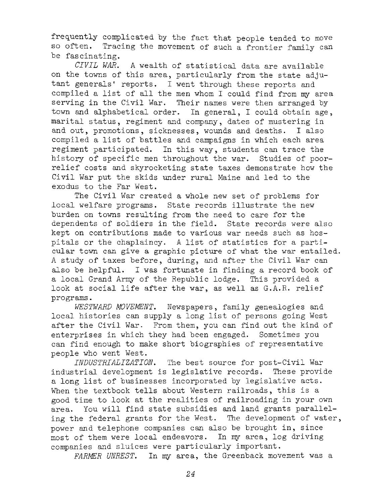frequently complicated by the fact that people tended to move so often. Tracing the movement of such <sup>a</sup> frontier family can be fascinating.

*CIVIL WAR, <sup>A</sup>* wealth of statistical data are available on the towns of this area, particularly from the state adjutant generals' reports. I went through these reports and compiled <sup>a</sup> list of all the men whom I could find from my area serving in the Civil War. Their names were then arranged by town and alphabetical order. In general, I could obtain age, marital status, regiment and company, dates of mustering in and out, promotions, sicknesses, wounds and deaths. I also compiled <sup>a</sup> list of battles and campaigns in which each area regiment participated. In this way, students can trace the history of specific men throughout the war. Studies of poorrelief costs and skyrocketing state taxes demonstrate how the Civil War put the skids under rural Maine and led to the exodus to the Far West.

The Civil War created a whole new set of problems for local welfare programs. State records illustrate the new burden on towns resulting from the need to care for the dependents of soldiers in the field. State records were also kept on contributions made to various war needs such as hospitals or the chaplaincy. <sup>A</sup> list of statistics for <sup>a</sup> particular town can give <sup>a</sup> graphic picture of what the war entailed. <sup>A</sup> study of taxes before, during, and after the Civil War can also be helpful. I was fortunate in finding <sup>a</sup> record book of a local Grand Army of the Republic lodge. This provided <sup>a</sup> look at social life after the war, as well as G.A.R. relief programs.

*WESTWARD MOVEMENT.* Newspapers, family genealogies and local histories can supply <sup>a</sup> long list of persons going West after the Civil War. From them, you can find out the kind of enterprises in which they had been engaged. Sometimes you can find enough to make short biographies of representative people who went West.

*INDUSTRIALIZATION.* The best source for post-Civil War industrial development is legislative records. These provide <sup>a</sup> long list of businesses incorporated by legislative acts. When the textbook tells about Western railroads, this is a good time to look at the realities of railroading in your own area. You will find state subsidies and land grants paralleling the federal grants for the West. The development of water, power and telephone companies can also be brought in, since most of them were local endeavors. In my area, log driving companies and sluices were particularly important.

*FARMER UNREST.* In my area, the Greenback movement was a